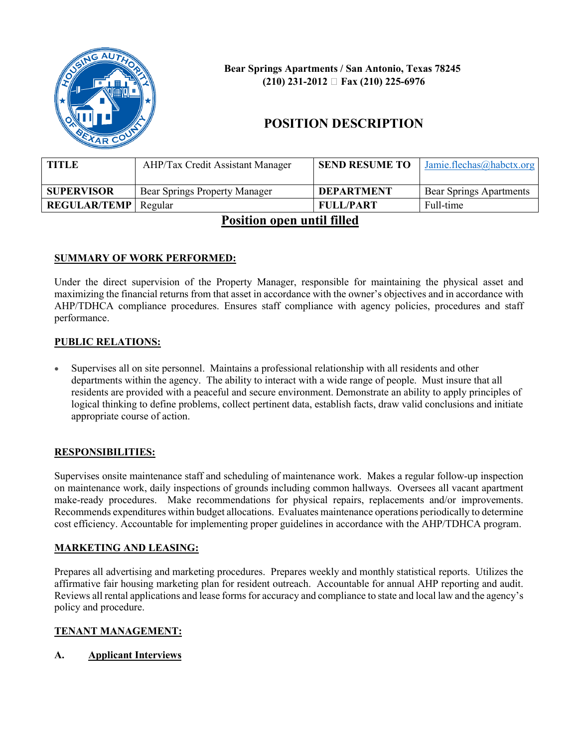

 **Bear Springs Apartments / San Antonio, Texas 78245 (210) 231-2012 Fax (210) 225-6976**

# **POSITION DESCRIPTION**

| TITLE                         | <b>AHP/Tax Credit Assistant Manager</b> | <b>SEND RESUME TO</b> | Jamie.flechas@habctx.org       |
|-------------------------------|-----------------------------------------|-----------------------|--------------------------------|
| <b>SUPERVISOR</b>             | Bear Springs Property Manager           | <b>DEPARTMENT</b>     | <b>Bear Springs Apartments</b> |
| <b>REGULAR/TEMP</b>   Regular |                                         | <b>FULL/PART</b>      | Full-time                      |

## **Position open until filled**

## **SUMMARY OF WORK PERFORMED:**

Under the direct supervision of the Property Manager, responsible for maintaining the physical asset and maximizing the financial returns from that asset in accordance with the owner's objectives and in accordance with AHP/TDHCA compliance procedures. Ensures staff compliance with agency policies, procedures and staff performance.

#### **PUBLIC RELATIONS:**

• Supervises all on site personnel. Maintains a professional relationship with all residents and other departments within the agency. The ability to interact with a wide range of people. Must insure that all residents are provided with a peaceful and secure environment. Demonstrate an ability to apply principles of logical thinking to define problems, collect pertinent data, establish facts, draw valid conclusions and initiate appropriate course of action.

#### **RESPONSIBILITIES:**

Supervises onsite maintenance staff and scheduling of maintenance work. Makes a regular follow-up inspection on maintenance work, daily inspections of grounds including common hallways. Oversees all vacant apartment make-ready procedures. Make recommendations for physical repairs, replacements and/or improvements. Recommends expenditures within budget allocations. Evaluates maintenance operations periodically to determine cost efficiency. Accountable for implementing proper guidelines in accordance with the AHP/TDHCA program.

#### **MARKETING AND LEASING:**

Prepares all advertising and marketing procedures. Prepares weekly and monthly statistical reports. Utilizes the affirmative fair housing marketing plan for resident outreach. Accountable for annual AHP reporting and audit. Reviews all rental applications and lease forms for accuracy and compliance to state and local law and the agency's policy and procedure.

## **TENANT MANAGEMENT:**

#### **A. Applicant Interviews**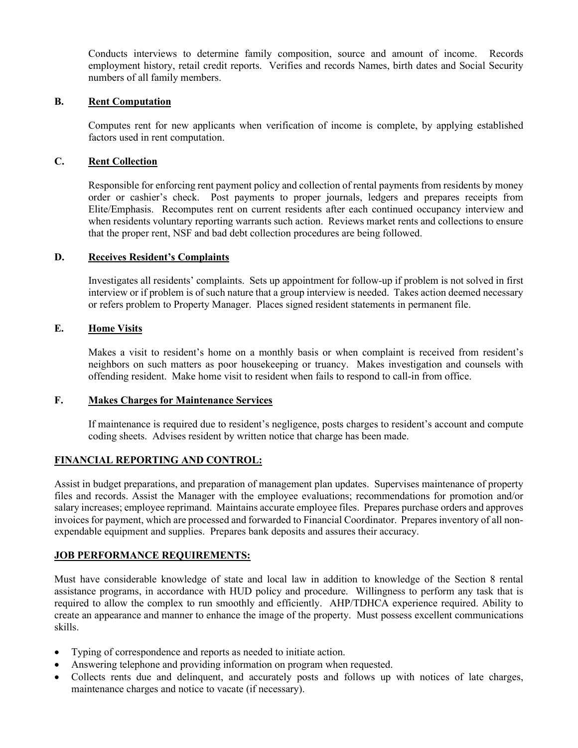Conducts interviews to determine family composition, source and amount of income. Records employment history, retail credit reports. Verifies and records Names, birth dates and Social Security numbers of all family members.

#### **B. Rent Computation**

Computes rent for new applicants when verification of income is complete, by applying established factors used in rent computation.

#### **C. Rent Collection**

Responsible for enforcing rent payment policy and collection of rental payments from residents by money order or cashier's check. Post payments to proper journals, ledgers and prepares receipts from Elite/Emphasis. Recomputes rent on current residents after each continued occupancy interview and when residents voluntary reporting warrants such action. Reviews market rents and collections to ensure that the proper rent, NSF and bad debt collection procedures are being followed.

#### **D. Receives Resident's Complaints**

Investigates all residents' complaints. Sets up appointment for follow-up if problem is not solved in first interview or if problem is of such nature that a group interview is needed. Takes action deemed necessary or refers problem to Property Manager. Places signed resident statements in permanent file.

#### **E. Home Visits**

Makes a visit to resident's home on a monthly basis or when complaint is received from resident's neighbors on such matters as poor housekeeping or truancy. Makes investigation and counsels with offending resident. Make home visit to resident when fails to respond to call-in from office.

#### **F. Makes Charges for Maintenance Services**

If maintenance is required due to resident's negligence, posts charges to resident's account and compute coding sheets. Advises resident by written notice that charge has been made.

#### **FINANCIAL REPORTING AND CONTROL:**

Assist in budget preparations, and preparation of management plan updates. Supervises maintenance of property files and records. Assist the Manager with the employee evaluations; recommendations for promotion and/or salary increases; employee reprimand. Maintains accurate employee files. Prepares purchase orders and approves invoices for payment, which are processed and forwarded to Financial Coordinator. Prepares inventory of all nonexpendable equipment and supplies. Prepares bank deposits and assures their accuracy.

#### **JOB PERFORMANCE REQUIREMENTS:**

Must have considerable knowledge of state and local law in addition to knowledge of the Section 8 rental assistance programs, in accordance with HUD policy and procedure. Willingness to perform any task that is required to allow the complex to run smoothly and efficiently. AHP/TDHCA experience required. Ability to create an appearance and manner to enhance the image of the property. Must possess excellent communications skills.

- Typing of correspondence and reports as needed to initiate action.
- Answering telephone and providing information on program when requested.
- Collects rents due and delinquent, and accurately posts and follows up with notices of late charges, maintenance charges and notice to vacate (if necessary).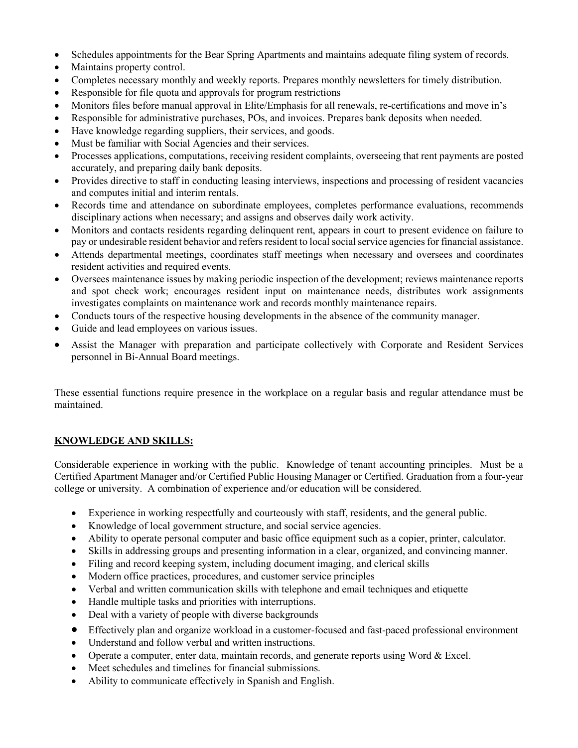- Schedules appointments for the Bear Spring Apartments and maintains adequate filing system of records.
- Maintains property control.
- Completes necessary monthly and weekly reports. Prepares monthly newsletters for timely distribution.
- Responsible for file quota and approvals for program restrictions
- Monitors files before manual approval in Elite/Emphasis for all renewals, re-certifications and move in's
- Responsible for administrative purchases, POs, and invoices. Prepares bank deposits when needed.
- Have knowledge regarding suppliers, their services, and goods.
- Must be familiar with Social Agencies and their services.
- Processes applications, computations, receiving resident complaints, overseeing that rent payments are posted accurately, and preparing daily bank deposits.
- Provides directive to staff in conducting leasing interviews, inspections and processing of resident vacancies and computes initial and interim rentals.
- Records time and attendance on subordinate employees, completes performance evaluations, recommends disciplinary actions when necessary; and assigns and observes daily work activity.
- Monitors and contacts residents regarding delinquent rent, appears in court to present evidence on failure to pay or undesirable resident behavior and refers resident to local social service agencies for financial assistance.
- Attends departmental meetings, coordinates staff meetings when necessary and oversees and coordinates resident activities and required events.
- Oversees maintenance issues by making periodic inspection of the development; reviews maintenance reports and spot check work; encourages resident input on maintenance needs, distributes work assignments investigates complaints on maintenance work and records monthly maintenance repairs.
- Conducts tours of the respective housing developments in the absence of the community manager.
- Guide and lead employees on various issues.
- Assist the Manager with preparation and participate collectively with Corporate and Resident Services personnel in Bi-Annual Board meetings.

These essential functions require presence in the workplace on a regular basis and regular attendance must be maintained.

## **KNOWLEDGE AND SKILLS:**

Considerable experience in working with the public. Knowledge of tenant accounting principles. Must be a Certified Apartment Manager and/or Certified Public Housing Manager or Certified. Graduation from a four-year college or university. A combination of experience and/or education will be considered.

- Experience in working respectfully and courteously with staff, residents, and the general public.
- Knowledge of local government structure, and social service agencies.
- Ability to operate personal computer and basic office equipment such as a copier, printer, calculator.
- Skills in addressing groups and presenting information in a clear, organized, and convincing manner.
- Filing and record keeping system, including document imaging, and clerical skills
- Modern office practices, procedures, and customer service principles
- Verbal and written communication skills with telephone and email techniques and etiquette
- Handle multiple tasks and priorities with interruptions.
- Deal with a variety of people with diverse backgrounds
- Effectively plan and organize workload in a customer-focused and fast-paced professional environment
- Understand and follow verbal and written instructions.
- Operate a computer, enter data, maintain records, and generate reports using Word & Excel.
- Meet schedules and timelines for financial submissions.
- Ability to communicate effectively in Spanish and English.